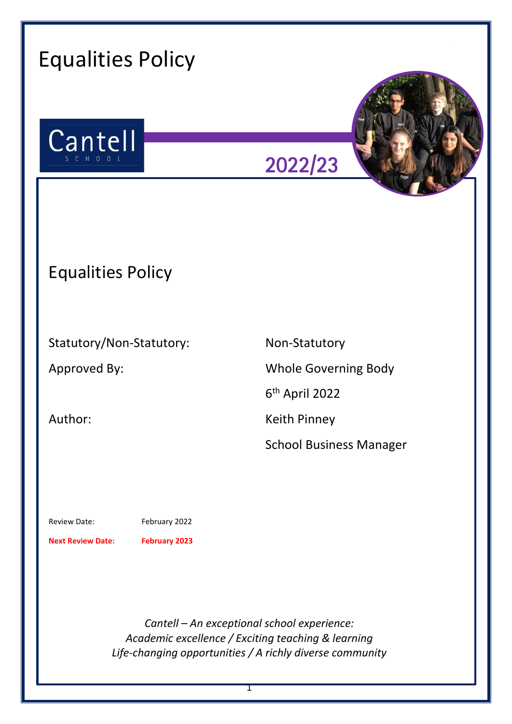| <b>Equalities Policy</b>                                                                 |                                                                                                                                                               |
|------------------------------------------------------------------------------------------|---------------------------------------------------------------------------------------------------------------------------------------------------------------|
| Cantell<br>S C H O O L                                                                   | 2022/23                                                                                                                                                       |
| <b>Equalities Policy</b>                                                                 |                                                                                                                                                               |
| Statutory/Non-Statutory:<br>Approved By:<br>Author:                                      | Non-Statutory<br><b>Whole Governing Body</b><br>6 <sup>th</sup> April 2022<br><b>Keith Pinney</b><br><b>School Business Manager</b>                           |
| February 2022<br><b>Review Date:</b><br><b>Next Review Date:</b><br><b>February 2023</b> |                                                                                                                                                               |
|                                                                                          | Cantell - An exceptional school experience:<br>Academic excellence / Exciting teaching & learning<br>Life-changing opportunities / A richly diverse community |

1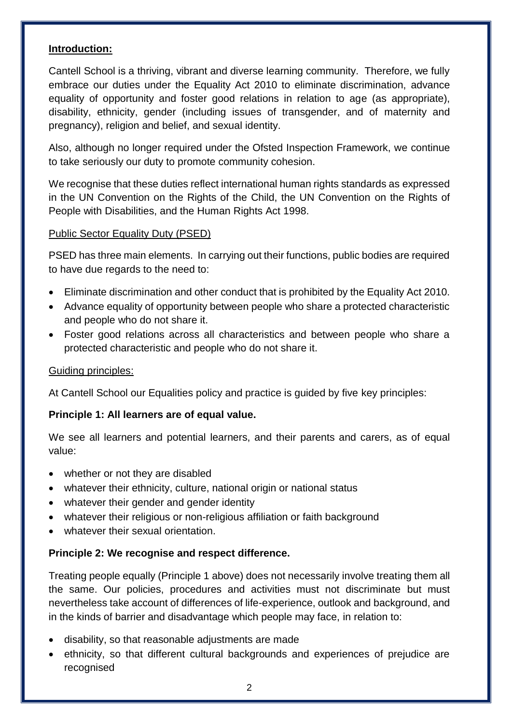### **Introduction:**

Cantell School is a thriving, vibrant and diverse learning community. Therefore, we fully embrace our duties under the Equality Act 2010 to eliminate discrimination, advance equality of opportunity and foster good relations in relation to age (as appropriate), disability, ethnicity, gender (including issues of transgender, and of maternity and pregnancy), religion and belief, and sexual identity.

Also, although no longer required under the Ofsted Inspection Framework, we continue to take seriously our duty to promote community cohesion.

We recognise that these duties reflect international human rights standards as expressed in the UN Convention on the Rights of the Child, the UN Convention on the Rights of People with Disabilities, and the Human Rights Act 1998.

### Public Sector Equality Duty (PSED)

PSED has three main elements. In carrying out their functions, public bodies are required to have due regards to the need to:

- Eliminate discrimination and other conduct that is prohibited by the Equality Act 2010.
- Advance equality of opportunity between people who share a protected characteristic and people who do not share it.
- Foster good relations across all characteristics and between people who share a protected characteristic and people who do not share it.

## Guiding principles:

At Cantell School our Equalities policy and practice is guided by five key principles:

## **Principle 1: All learners are of equal value.**

We see all learners and potential learners, and their parents and carers, as of equal value:

- whether or not they are disabled
- whatever their ethnicity, culture, national origin or national status
- whatever their gender and gender identity
- whatever their religious or non-religious affiliation or faith background
- whatever their sexual orientation.

# **Principle 2: We recognise and respect difference.**

Treating people equally (Principle 1 above) does not necessarily involve treating them all the same. Our policies, procedures and activities must not discriminate but must nevertheless take account of differences of life-experience, outlook and background, and in the kinds of barrier and disadvantage which people may face, in relation to:

- disability, so that reasonable adjustments are made
- ethnicity, so that different cultural backgrounds and experiences of prejudice are recognised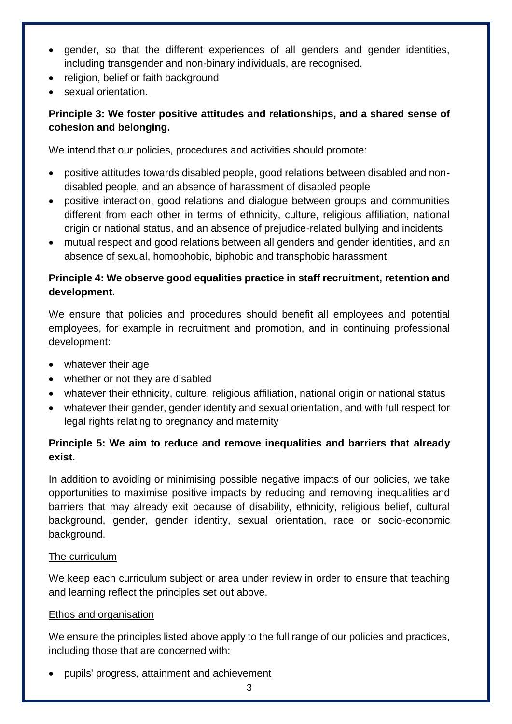- gender, so that the different experiences of all genders and gender identities, including transgender and non-binary individuals, are recognised.
- religion, belief or faith background
- sexual orientation.

# **Principle 3: We foster positive attitudes and relationships, and a shared sense of cohesion and belonging.**

We intend that our policies, procedures and activities should promote:

- positive attitudes towards disabled people, good relations between disabled and nondisabled people, and an absence of harassment of disabled people
- positive interaction, good relations and dialogue between groups and communities different from each other in terms of ethnicity, culture, religious affiliation, national origin or national status, and an absence of prejudice-related bullying and incidents
- mutual respect and good relations between all genders and gender identities, and an absence of sexual, homophobic, biphobic and transphobic harassment

## **Principle 4: We observe good equalities practice in staff recruitment, retention and development.**

We ensure that policies and procedures should benefit all employees and potential employees, for example in recruitment and promotion, and in continuing professional development:

- whatever their age
- whether or not they are disabled
- whatever their ethnicity, culture, religious affiliation, national origin or national status
- whatever their gender, gender identity and sexual orientation, and with full respect for legal rights relating to pregnancy and maternity

# **Principle 5: We aim to reduce and remove inequalities and barriers that already exist.**

In addition to avoiding or minimising possible negative impacts of our policies, we take opportunities to maximise positive impacts by reducing and removing inequalities and barriers that may already exit because of disability, ethnicity, religious belief, cultural background, gender, gender identity, sexual orientation, race or socio-economic background.

## The curriculum

We keep each curriculum subject or area under review in order to ensure that teaching and learning reflect the principles set out above.

# Ethos and organisation

We ensure the principles listed above apply to the full range of our policies and practices, including those that are concerned with:

pupils' progress, attainment and achievement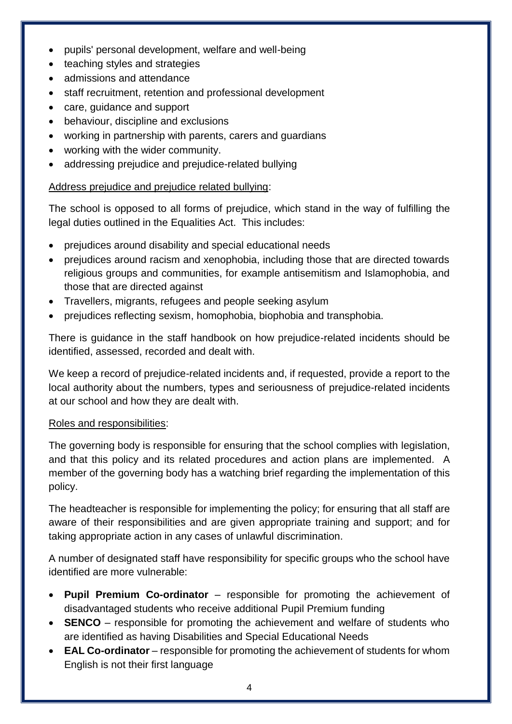- pupils' personal development, welfare and well-being
- teaching styles and strategies
- admissions and attendance
- staff recruitment, retention and professional development
- care, guidance and support
- behaviour, discipline and exclusions
- working in partnership with parents, carers and guardians
- working with the wider community.
- addressing prejudice and prejudice-related bullying

## Address prejudice and prejudice related bullying:

The school is opposed to all forms of prejudice, which stand in the way of fulfilling the legal duties outlined in the Equalities Act. This includes:

- prejudices around disability and special educational needs
- prejudices around racism and xenophobia, including those that are directed towards religious groups and communities, for example antisemitism and Islamophobia, and those that are directed against
- Travellers, migrants, refugees and people seeking asylum
- prejudices reflecting sexism, homophobia, biophobia and transphobia.

There is guidance in the staff handbook on how prejudice-related incidents should be identified, assessed, recorded and dealt with.

We keep a record of prejudice-related incidents and, if requested, provide a report to the local authority about the numbers, types and seriousness of prejudice-related incidents at our school and how they are dealt with.

## Roles and responsibilities:

The governing body is responsible for ensuring that the school complies with legislation, and that this policy and its related procedures and action plans are implemented. A member of the governing body has a watching brief regarding the implementation of this policy.

The headteacher is responsible for implementing the policy; for ensuring that all staff are aware of their responsibilities and are given appropriate training and support; and for taking appropriate action in any cases of unlawful discrimination.

A number of designated staff have responsibility for specific groups who the school have identified are more vulnerable:

- **Pupil Premium Co-ordinator** responsible for promoting the achievement of disadvantaged students who receive additional Pupil Premium funding
- **SENCO** responsible for promoting the achievement and welfare of students who are identified as having Disabilities and Special Educational Needs
- **EAL Co-ordinator** responsible for promoting the achievement of students for whom English is not their first language